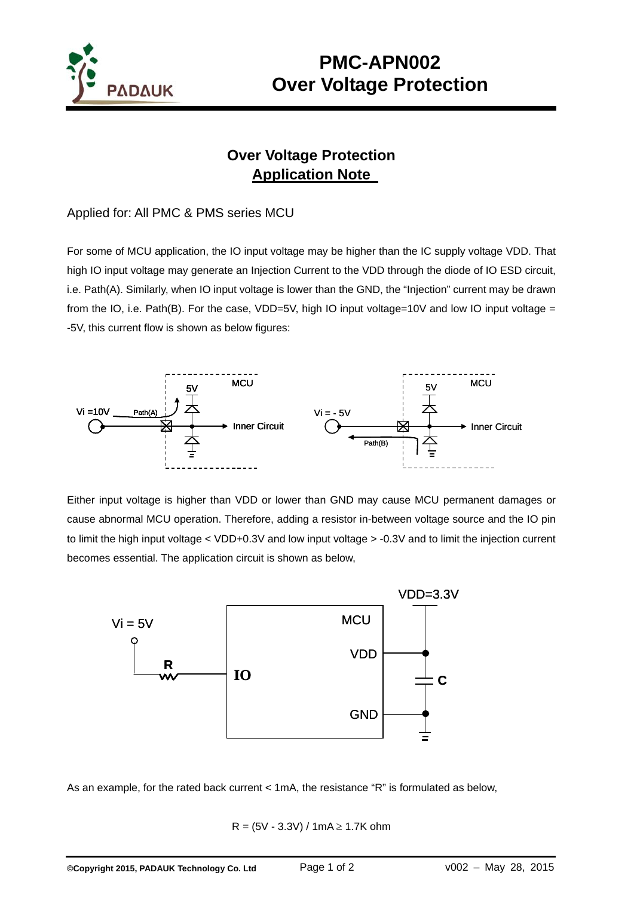

## **Over Voltage Protection Application Note**

## Applied for: All PMC & PMS series MCU

For some of MCU application, the IO input voltage may be higher than the IC supply voltage VDD. That high IO input voltage may generate an Injection Current to the VDD through the diode of IO ESD circuit, i.e. Path(A). Similarly, when IO input voltage is lower than the GND, the "Injection" current may be drawn from the IO, i.e. Path(B). For the case, VDD=5V, high IO input voltage=10V and low IO input voltage = -5V, this current flow is shown as below figures:



Either input voltage is higher than VDD or lower than GND may cause MCU permanent damages or cause abnormal MCU operation. Therefore, adding a resistor in-between voltage source and the IO pin to limit the high input voltage < VDD+0.3V and low input voltage > -0.3V and to limit the injection current becomes essential. The application circuit is shown as below,



As an example, for the rated back current < 1mA, the resistance "R" is formulated as below,

 $R = (5V - 3.3V) / 1mA \ge 1.7K ohm$